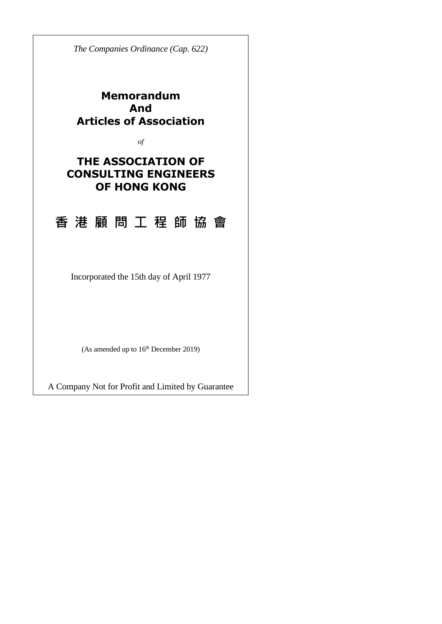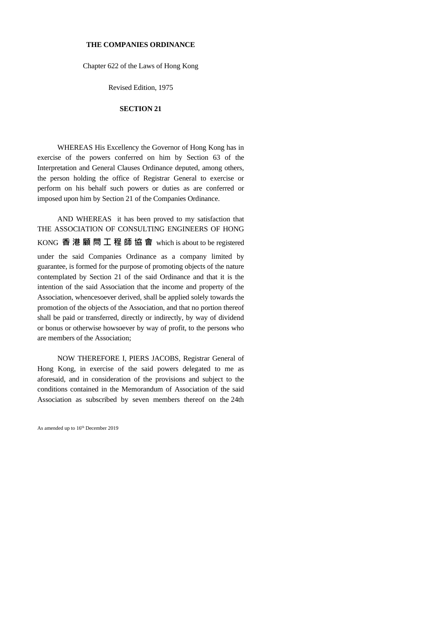#### **THE COMPANIES ORDINANCE**

Chapter 622 of the Laws of Hong Kong

Revised Edition, 1975

#### **SECTION 21**

WHEREAS His Excellency the Governor of Hong Kong has in exercise of the powers conferred on him by Section 63 of the Interpretation and General Clauses Ordinance deputed, among others, the person holding the office of Registrar General to exercise or perform on his behalf such powers or duties as are conferred or imposed upon him by Section 21 of the Companies Ordinance.

AND WHEREAS it has been proved to my satisfaction that THE ASSOCIATION OF CONSULTING ENGINEERS OF HONG KONG **香 港 顧 問 工 程 師 協 會** which is about to be registered under the said Companies Ordinance as a company limited by guarantee, is formed for the purpose of promoting objects of the nature contemplated by Section 21 of the said Ordinance and that it is the intention of the said Association that the income and property of the Association, whencesoever derived, shall be applied solely towards the promotion of the objects of the Association, and that no portion thereof shall be paid or transferred, directly or indirectly, by way of dividend or bonus or otherwise howsoever by way of profit, to the persons who are members of the Association;

NOW THEREFORE I, PIERS JACOBS, Registrar General of Hong Kong, in exercise of the said powers delegated to me as aforesaid, and in consideration of the provisions and subject to the conditions contained in the Memorandum of Association of the said Association as subscribed by seven members thereof on the 24th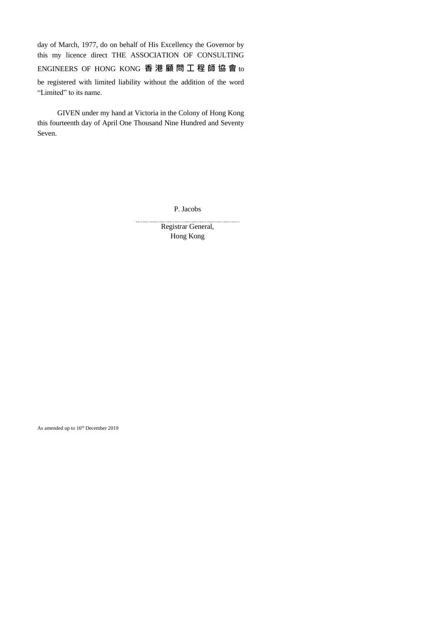day of March, 1977, do on behalf of His Excellency the Governor by this my licence direct THE ASSOCIATION OF CONSULTING

ENGINEERS OF HONG KONG **香 港 顧 問 工 程 師 協 會** to

be registered with limited liability without the addition of the word "Limited" to its name.

GIVEN under my hand at Victoria in the Colony of Hong Kong this fourteenth day of April One Thousand Nine Hundred and Seventy Seven.

P. Jacobs

Registrar General, Hong Kong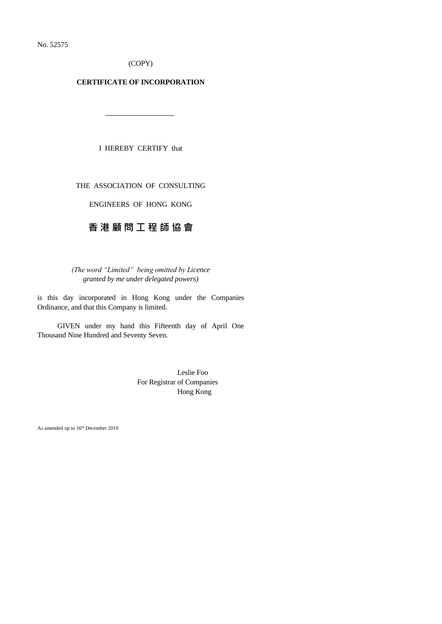No. 52575

(COPY)

#### **CERTIFICATE OF INCORPORATION**

I HEREBY CERTIFY that

THE ASSOCIATION OF CONSULTING

ENGINEERS OF HONG KONG

# **香 港 顧 問 工 程 師 協 會**

*(The word "Limited" being omitted by Licence granted by me under delegated powers)*

is this day incorporated in Hong Kong under the Companies Ordinance, and that this Company is limited.

GIVEN under my hand this Fifteenth day of April One Thousand Nine Hundred and Seventy Seven.

> Leslie Foo For Registrar of Companies Hong Kong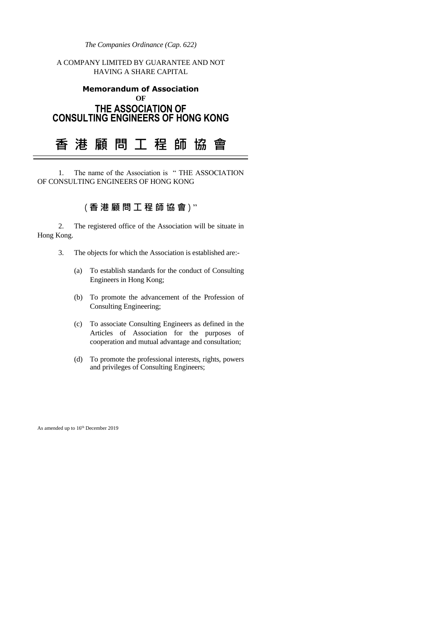*The Companies Ordinance (Cap. 622)*

A COMPANY LIMITED BY GUARANTEE AND NOT HAVING A SHARE CAPITAL

## **Memorandum of Association OF THE ASSOCIATION OF CONSULTING ENGINEERS OF HONG KONG**

# **香 港 顧 問 工 程 師 協 會**

1. The name of the Association is " THE ASSOCIATION OF CONSULTING ENGINEERS OF HONG KONG

# ( **香 港 顧 問 工 程 師 協 會** ) "

2. The registered office of the Association will be situate in Hong Kong.

- 3. The objects for which the Association is established are:-
	- (a) To establish standards for the conduct of Consulting Engineers in Hong Kong;
	- (b) To promote the advancement of the Profession of Consulting Engineering;
	- (c) To associate Consulting Engineers as defined in the Articles of Association for the purposes of cooperation and mutual advantage and consultation;
	- (d) To promote the professional interests, rights, powers and privileges of Consulting Engineers;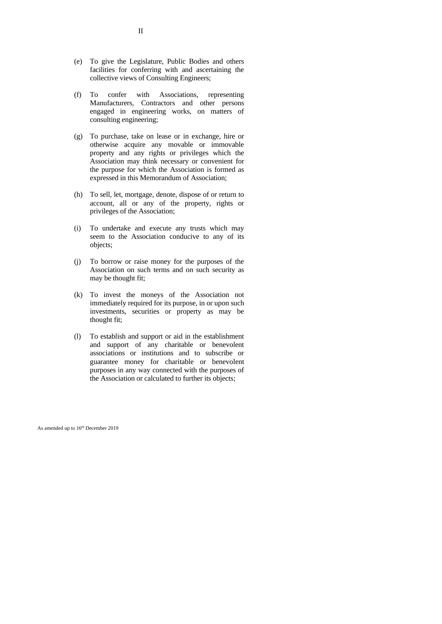- (e) To give the Legislature, Public Bodies and others facilities for conferring with and ascertaining the collective views of Consulting Engineers;
- (f) To confer with Associations, representing Manufacturers, Contractors and other persons engaged in engineering works, on matters of consulting engineering;
- (g) To purchase, take on lease or in exchange, hire or otherwise acquire any movable or immovable property and any rights or privileges which the Association may think necessary or convenient for the purpose for which the Association is formed as expressed in this Memorandum of Association;
- (h) To sell, let, mortgage, denote, dispose of or return to account, all or any of the property, rights or privileges of the Association;
- (i) To undertake and execute any trusts which may seem to the Association conducive to any of its objects;
- (j) To borrow or raise money for the purposes of the Association on such terms and on such security as may be thought fit;
- (k) To invest the moneys of the Association not immediately required for its purpose, in or upon such investments, securities or property as may be thought fit;
- (l) To establish and support or aid in the establishment and support of any charitable or benevolent associations or institutions and to subscribe or guarantee money for charitable or benevolent purposes in any way connected with the purposes of the Association or calculated to further its objects;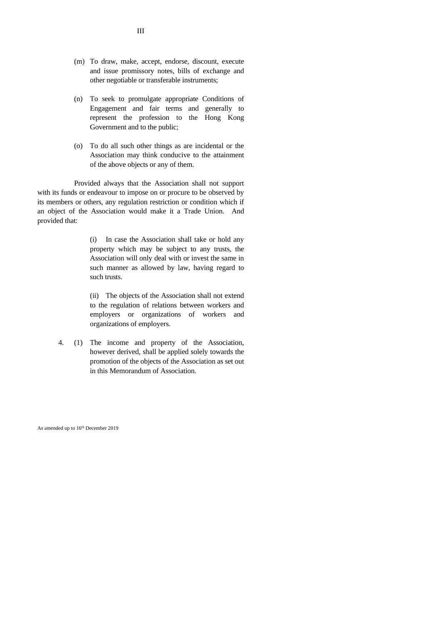- (m) To draw, make, accept, endorse, discount, execute and issue promissory notes, bills of exchange and other negotiable or transferable instruments;
- (n) To seek to promulgate appropriate Conditions of Engagement and fair terms and generally to represent the profession to the Hong Kong Government and to the public;
- (o) To do all such other things as are incidental or the Association may think conducive to the attainment of the above objects or any of them.

Provided always that the Association shall not support with its funds or endeavour to impose on or procure to be observed by its members or others, any regulation restriction or condition which if an object of the Association would make it a Trade Union. And provided that:

> (i) In case the Association shall take or hold any property which may be subject to any trusts, the Association will only deal with or invest the same in such manner as allowed by law, having regard to such trusts.

> (ii) The objects of the Association shall not extend to the regulation of relations between workers and employers or organizations of workers and organizations of employers.

4. (1) The income and property of the Association, however derived, shall be applied solely towards the promotion of the objects of the Association as set out in this Memorandum of Association.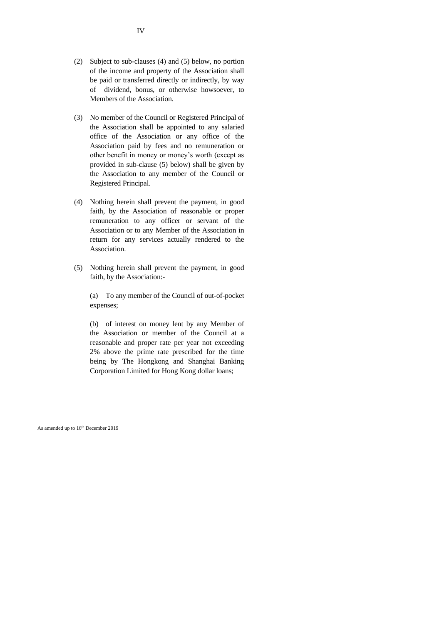- (2) Subject to sub-clauses (4) and (5) below, no portion of the income and property of the Association shall be paid or transferred directly or indirectly, by way of dividend, bonus, or otherwise howsoever, to Members of the Association.
- (3) No member of the Council or Registered Principal of the Association shall be appointed to any salaried office of the Association or any office of the Association paid by fees and no remuneration or other benefit in money or money's worth (except as provided in sub-clause (5) below) shall be given by the Association to any member of the Council or Registered Principal.
- (4) Nothing herein shall prevent the payment, in good faith, by the Association of reasonable or proper remuneration to any officer or servant of the Association or to any Member of the Association in return for any services actually rendered to the Association.
- (5) Nothing herein shall prevent the payment, in good faith, by the Association:-

(a) To any member of the Council of out-of-pocket expenses;

(b) of interest on money lent by any Member of the Association or member of the Council at a reasonable and proper rate per year not exceeding 2% above the prime rate prescribed for the time being by The Hongkong and Shanghai Banking Corporation Limited for Hong Kong dollar loans;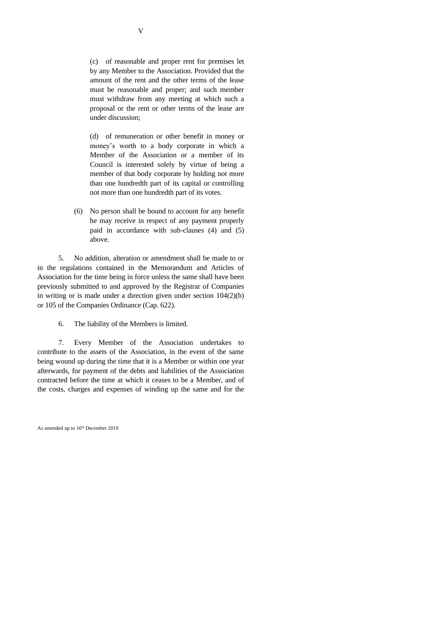(d) of remuneration or other benefit in money or money's worth to a body corporate in which a Member of the Association or a member of its Council is interested solely by virtue of being a member of that body corporate by holding not more than one hundredth part of its capital or controlling not more than one hundredth part of its votes.

(6) No person shall be bound to account for any benefit he may receive in respect of any payment properly paid in accordance with sub-clauses (4) and (5) above.

5. No addition, alteration or amendment shall be made to or in the regulations contained in the Memorandum and Articles of Association for the time being in force unless the same shall have been previously submitted to and approved by the Registrar of Companies in writing or is made under a direction given under section 104(2)(b) or 105 of the Companies Ordinance (Cap. 622).

6. The liability of the Members is limited.

7. Every Member of the Association undertakes to contribute to the assets of the Association, in the event of the same being wound up during the time that it is a Member or within one year afterwards, for payment of the debts and liabilities of the Association contracted before the time at which it ceases to be a Member, and of the costs, charges and expenses of winding up the same and for the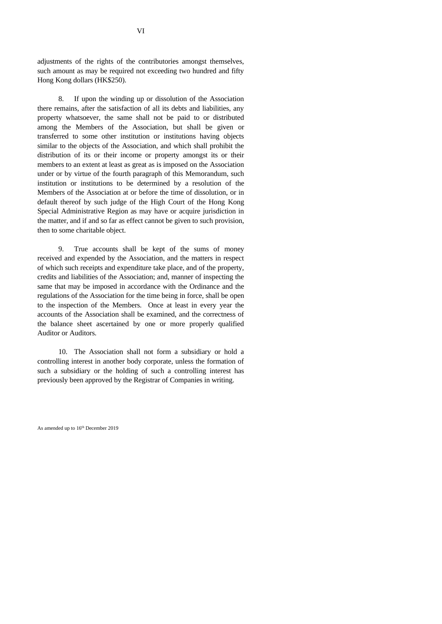adjustments of the rights of the contributories amongst themselves, such amount as may be required not exceeding two hundred and fifty Hong Kong dollars (HK\$250).

8. If upon the winding up or dissolution of the Association there remains, after the satisfaction of all its debts and liabilities, any property whatsoever, the same shall not be paid to or distributed among the Members of the Association, but shall be given or transferred to some other institution or institutions having objects similar to the objects of the Association, and which shall prohibit the distribution of its or their income or property amongst its or their members to an extent at least as great as is imposed on the Association under or by virtue of the fourth paragraph of this Memorandum, such institution or institutions to be determined by a resolution of the Members of the Association at or before the time of dissolution, or in default thereof by such judge of the High Court of the Hong Kong Special Administrative Region as may have or acquire jurisdiction in the matter, and if and so far as effect cannot be given to such provision, then to some charitable object.

9. True accounts shall be kept of the sums of money received and expended by the Association, and the matters in respect of which such receipts and expenditure take place, and of the property, credits and liabilities of the Association; and, manner of inspecting the same that may be imposed in accordance with the Ordinance and the regulations of the Association for the time being in force, shall be open to the inspection of the Members. Once at least in every year the accounts of the Association shall be examined, and the correctness of the balance sheet ascertained by one or more properly qualified Auditor or Auditors.

10. The Association shall not form a subsidiary or hold a controlling interest in another body corporate, unless the formation of such a subsidiary or the holding of such a controlling interest has previously been approved by the Registrar of Companies in writing.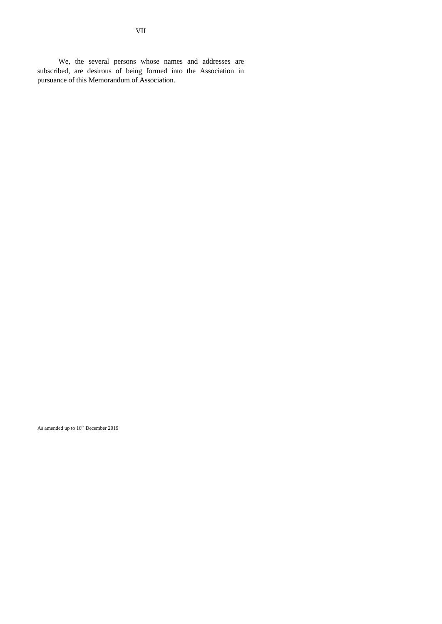We, the several persons whose names and addresses are subscribed, are desirous of being formed into the Association in pursuance of this Memorandum of Association.

As amended up to 16th December 2019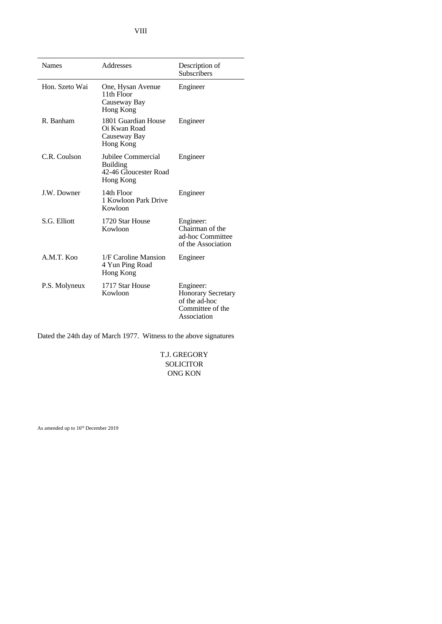| <b>Names</b>   | Addresses                                                                   | Description of<br><b>Subscribers</b>                                                       |
|----------------|-----------------------------------------------------------------------------|--------------------------------------------------------------------------------------------|
| Hon. Szeto Wai | One, Hysan Avenue<br>11th Floor<br>Causeway Bay<br>Hong Kong                | Engineer                                                                                   |
| R. Banham      | 1801 Guardian House<br>Oi Kwan Road<br>Causeway Bay<br>Hong Kong            | Engineer                                                                                   |
| C.R. Coulson   | Jubilee Commercial<br><b>Building</b><br>42-46 Gloucester Road<br>Hong Kong | Engineer                                                                                   |
| J.W. Downer    | 14th Floor<br>1 Kowloon Park Drive<br>Kowloon                               | Engineer                                                                                   |
| S.G. Elliott   | 1720 Star House<br>Kowloon                                                  | Engineer:<br>Chairman of the<br>ad-hoc Committee<br>of the Association                     |
| A.M.T. Koo     | 1/F Caroline Mansion<br>4 Yun Ping Road<br>Hong Kong                        | Engineer                                                                                   |
| P.S. Molyneux  | 1717 Star House<br>Kowloon                                                  | Engineer:<br><b>Honorary Secretary</b><br>of the ad-hoc<br>Committee of the<br>Association |

Dated the 24th day of March 1977. Witness to the above signatures

T.J. GREGORY SOLICITOR ONG KON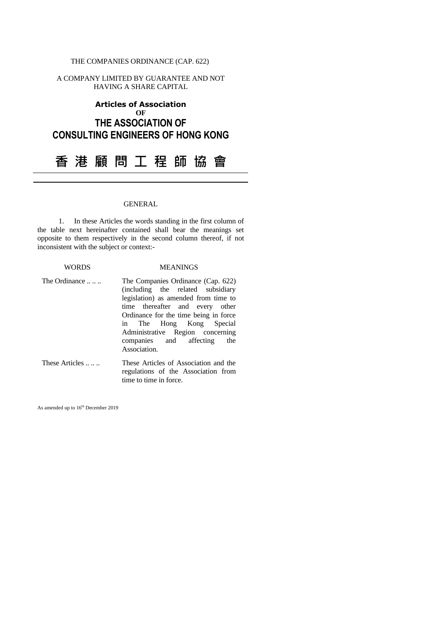### THE COMPANIES ORDINANCE (CAP. 622)

A COMPANY LIMITED BY GUARANTEE AND NOT HAVING A SHARE CAPITAL

# **Articles of Association OF THE ASSOCIATION OF CONSULTING ENGINEERS OF HONG KONG**

**香 港 顧 問 工 程 師 協 會**

#### GENERAL

1. In these Articles the words standing in the first column of the table next hereinafter contained shall bear the meanings set opposite to them respectively in the second column thereof, if not inconsistent with the subject or context:-

#### WORDS MEANINGS

- The Ordinance ...... The Companies Ordinance (Cap. 622) (including the related subsidiary legislation) as amended from time to time thereafter and every other Ordinance for the time being in force in The Hong Kong Special Administrative Region concerning companies and affecting the Association.
- These Articles ...... These Articles of Association and the regulations of the Association from time to time in force.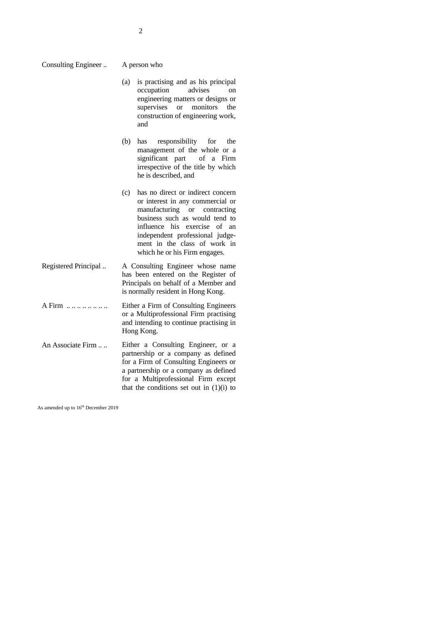- (a) is practising and as his principal occupation advises on engineering matters or designs or supervises or monitors the construction of engineering work, and
- (b) has responsibility for the management of the whole or a<br>significant part of a Firm significant part irrespective of the title by which he is described, and
- (c) has no direct or indirect concern or interest in any commercial or manufacturing or contracting business such as would tend to influence his exercise of an independent professional judgement in the class of work in which he or his Firm engages.
- Registered Principal .. A Consulting Engineer whose name has been entered on the Register of Principals on behalf of a Member and is normally resident in Hong Kong.
- A Firm .. .. .. .. .. .. .. .. Either a Firm of Consulting Engineers or a Multiprofessional Firm practising and intending to continue practising in Hong Kong.
- An Associate Firm .... Either a Consulting Engineer, or a partnership or a company as defined for a Firm of Consulting Engineers or a partnership or a company as defined for a Multiprofessional Firm except that the conditions set out in  $(1)(i)$  to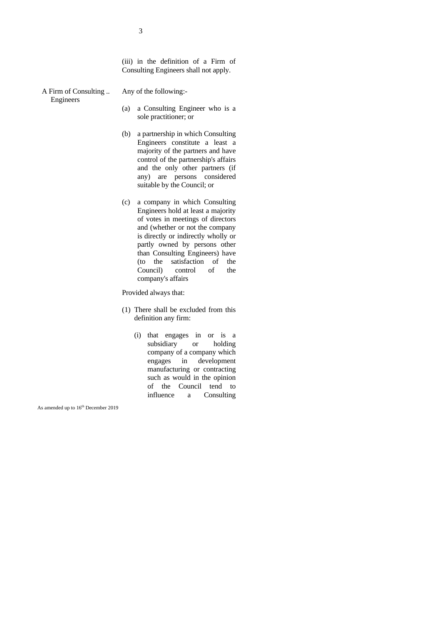(iii) in the definition of a Firm of Consulting Engineers shall not apply.

A Firm of Consulting .. Engineers

- Any of the following:-
	- (a) a Consulting Engineer who is a sole practitioner; or
	- (b) a partnership in which Consulting Engineers constitute a least a majority of the partners and have control of the partnership's affairs and the only other partners (if any) are persons considered suitable by the Council; or
	- (c) a company in which Consulting Engineers hold at least a majority of votes in meetings of directors and (whether or not the company is directly or indirectly wholly or partly owned by persons other than Consulting Engineers) have (to the satisfaction of the Council) control of the company's affairs

Provided always that:

- (1) There shall be excluded from this definition any firm:
	- (i) that engages in or is a subsidiary or holding company of a company which engages in development manufacturing or contracting such as would in the opinion of the Council tend to influence a Consulting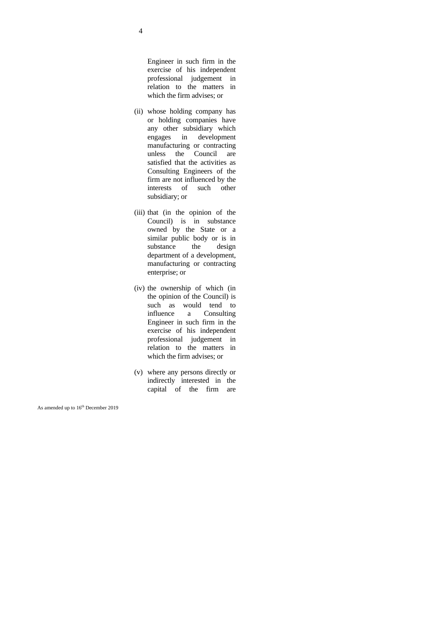Engineer in such firm in the exercise of his independent professional judgement in relation to the matters in which the firm advises; or

- (ii) whose holding company has or holding companies have any other subsidiary which engages in development manufacturing or contracting unless the Council are satisfied that the activities as Consulting Engineers of the firm are not influenced by the interests of such other subsidiary; or
- (iii) that (in the opinion of the Council) is in substance owned by the State or a similar public body or is in substance the design department of a development, manufacturing or contracting enterprise; or
- (iv) the ownership of which (in the opinion of the Council) is such as would tend to influence a Consulting Engineer in such firm in the exercise of his independent professional judgement in relation to the matters in which the firm advises; or
- (v) where any persons directly or indirectly interested in the capital of the firm are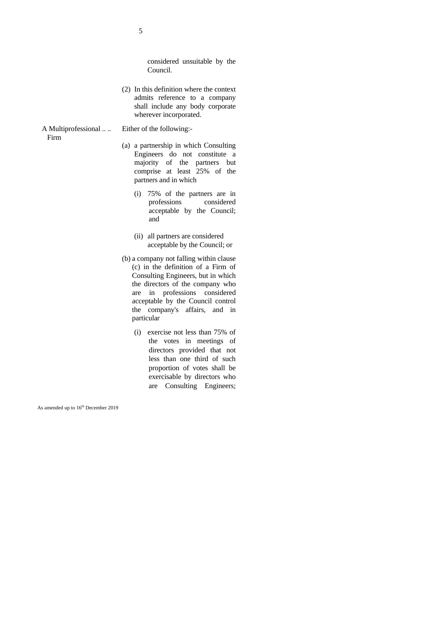considered unsuitable by the Council.

- (2) In this definition where the context admits reference to a company shall include any body corporate wherever incorporated.
- A Multiprofessional .. ..
	- Firm

#### Either of the following:-

- (a) a partnership in which Consulting Engineers do not constitute a majority of the partners but comprise at least 25% of the partners and in which
	- (i) 75% of the partners are in professions considered acceptable by the Council; and
	- (ii) all partners are considered acceptable by the Council; or
- (b) a company not falling within clause (c) in the definition of a Firm of Consulting Engineers, but in which the directors of the company who are in professions considered acceptable by the Council control the company's affairs, and in particular
	- (i) exercise not less than 75% of the votes in meetings of directors provided that not less than one third of such proportion of votes shall be exercisable by directors who are Consulting Engineers;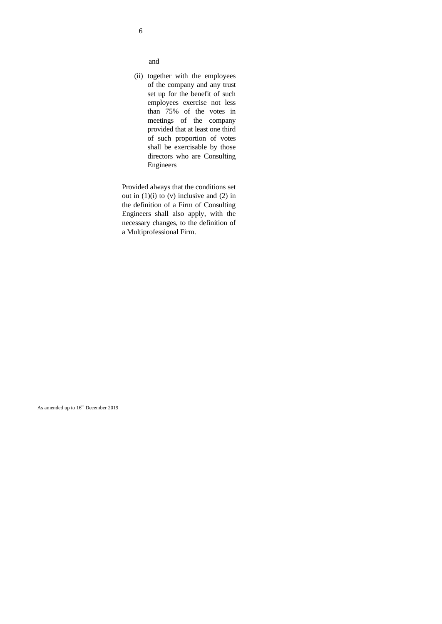and

(ii) together with the employees of the company and any trust set up for the benefit of such employees exercise not less than 75% of the votes in meetings of the company provided that at least one third of such proportion of votes shall be exercisable by those directors who are Consulting Engineers

Provided always that the conditions set out in  $(1)(i)$  to  $(v)$  inclusive and  $(2)$  in the definition of a Firm of Consulting Engineers shall also apply, with the necessary changes, to the definition of a Multiprofessional Firm.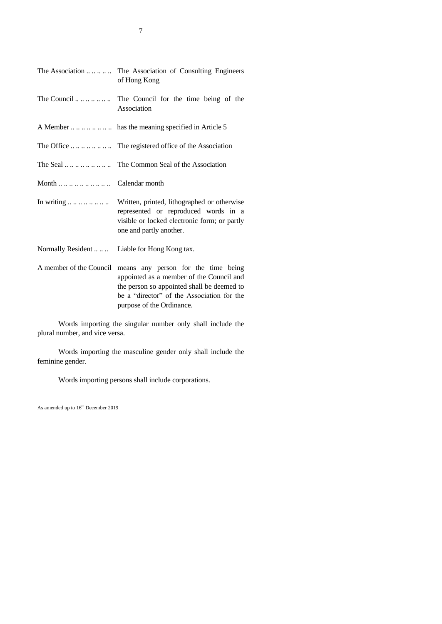|                              | The Association  The Association of Consulting Engineers<br>of Hong Kong                                                                                                                                 |  |
|------------------------------|----------------------------------------------------------------------------------------------------------------------------------------------------------------------------------------------------------|--|
|                              | Association                                                                                                                                                                                              |  |
|                              |                                                                                                                                                                                                          |  |
|                              | The Office $\dots \dots \dots \dots$ The registered office of the Association                                                                                                                            |  |
|                              |                                                                                                                                                                                                          |  |
| Month         Calendar month |                                                                                                                                                                                                          |  |
|                              | In writing  Written, printed, lithographed or otherwise<br>represented or reproduced words in a<br>visible or locked electronic form; or partly<br>one and partly another.                               |  |
| Normally Resident            | Liable for Hong Kong tax.                                                                                                                                                                                |  |
| A member of the Council      | means any person for the time being<br>appointed as a member of the Council and<br>the person so appointed shall be deemed to<br>be a "director" of the Association for the<br>purpose of the Ordinance. |  |

Words importing the singular number only shall include the plural number, and vice versa.

Words importing the masculine gender only shall include the feminine gender.

Words importing persons shall include corporations.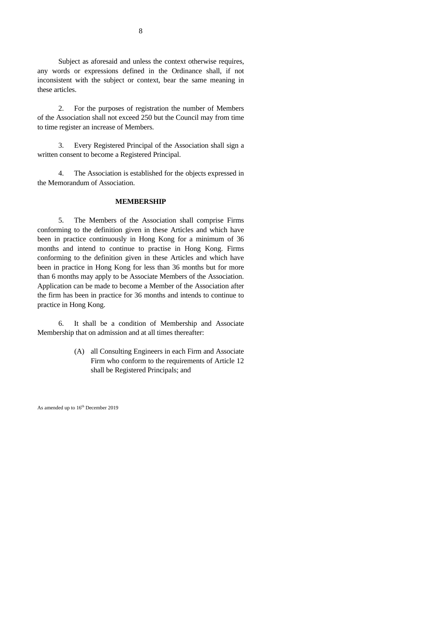Subject as aforesaid and unless the context otherwise requires, any words or expressions defined in the Ordinance shall, if not inconsistent with the subject or context, bear the same meaning in these articles.

2. For the purposes of registration the number of Members of the Association shall not exceed 250 but the Council may from time to time register an increase of Members.

3. Every Registered Principal of the Association shall sign a written consent to become a Registered Principal.

4. The Association is established for the objects expressed in the Memorandum of Association.

#### **MEMBERSHIP**

5. The Members of the Association shall comprise Firms conforming to the definition given in these Articles and which have been in practice continuously in Hong Kong for a minimum of 36 months and intend to continue to practise in Hong Kong. Firms conforming to the definition given in these Articles and which have been in practice in Hong Kong for less than 36 months but for more than 6 months may apply to be Associate Members of the Association. Application can be made to become a Member of the Association after the firm has been in practice for 36 months and intends to continue to practice in Hong Kong.

6. It shall be a condition of Membership and Associate Membership that on admission and at all times thereafter:

> (A) all Consulting Engineers in each Firm and Associate Firm who conform to the requirements of Article 12 shall be Registered Principals; and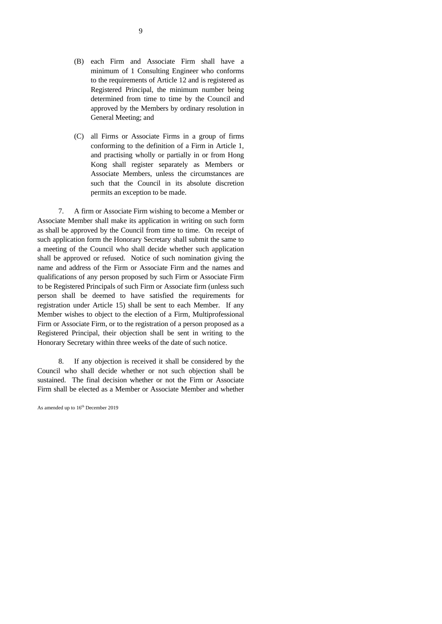- (B) each Firm and Associate Firm shall have a minimum of 1 Consulting Engineer who conforms to the requirements of Article 12 and is registered as Registered Principal, the minimum number being determined from time to time by the Council and approved by the Members by ordinary resolution in General Meeting; and
- (C) all Firms or Associate Firms in a group of firms conforming to the definition of a Firm in Article 1, and practising wholly or partially in or from Hong Kong shall register separately as Members or Associate Members, unless the circumstances are such that the Council in its absolute discretion permits an exception to be made.

7. A firm or Associate Firm wishing to become a Member or Associate Member shall make its application in writing on such form as shall be approved by the Council from time to time. On receipt of such application form the Honorary Secretary shall submit the same to a meeting of the Council who shall decide whether such application shall be approved or refused. Notice of such nomination giving the name and address of the Firm or Associate Firm and the names and qualifications of any person proposed by such Firm or Associate Firm to be Registered Principals of such Firm or Associate firm (unless such person shall be deemed to have satisfied the requirements for registration under Article 15) shall be sent to each Member. If any Member wishes to object to the election of a Firm, Multiprofessional Firm or Associate Firm, or to the registration of a person proposed as a Registered Principal, their objection shall be sent in writing to the Honorary Secretary within three weeks of the date of such notice.

8. If any objection is received it shall be considered by the Council who shall decide whether or not such objection shall be sustained. The final decision whether or not the Firm or Associate Firm shall be elected as a Member or Associate Member and whether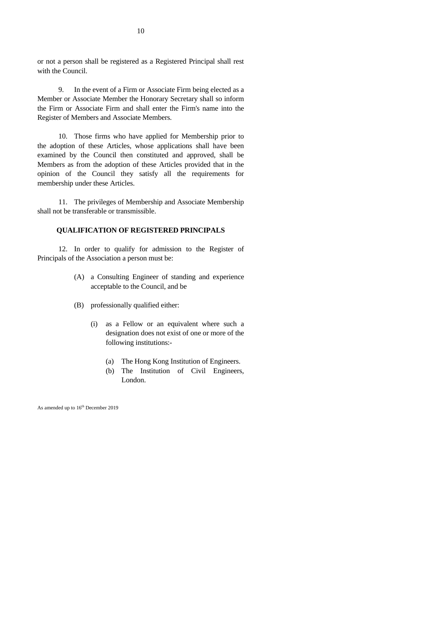or not a person shall be registered as a Registered Principal shall rest with the Council.

9. In the event of a Firm or Associate Firm being elected as a Member or Associate Member the Honorary Secretary shall so inform the Firm or Associate Firm and shall enter the Firm's name into the Register of Members and Associate Members.

10. Those firms who have applied for Membership prior to the adoption of these Articles, whose applications shall have been examined by the Council then constituted and approved, shall be Members as from the adoption of these Articles provided that in the opinion of the Council they satisfy all the requirements for membership under these Articles.

11. The privileges of Membership and Associate Membership shall not be transferable or transmissible.

#### **QUALIFICATION OF REGISTERED PRINCIPALS**

12. In order to qualify for admission to the Register of Principals of the Association a person must be:

- (A) a Consulting Engineer of standing and experience acceptable to the Council, and be
- (B) professionally qualified either:
	- (i) as a Fellow or an equivalent where such a designation does not exist of one or more of the following institutions:-
		- (a) The Hong Kong Institution of Engineers.
		- (b) The Institution of Civil Engineers, London.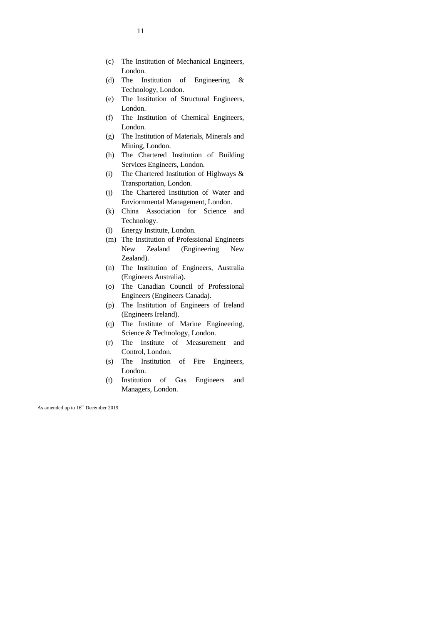- (c) The Institution of Mechanical Engineers, London.
- (d) The Institution of Engineering & Technology, London.
- (e) The Institution of Structural Engineers, London.
- (f) The Institution of Chemical Engineers, London.
- (g) The Institution of Materials, Minerals and Mining, London.
- (h) The Chartered Institution of Building Services Engineers, London.
- (i) The Chartered Institution of Highways & Transportation, London.
- (j) The Chartered Institution of Water and Enviornmental Management, London.
- (k) China Association for Science and Technology.
- (l) Energy Institute, London.
- (m) The Institution of Professional Engineers New Zealand (Engineering New Zealand).
- (n) The Institution of Engineers, Australia (Engineers Australia).
- (o) The Canadian Council of Professional Engineers (Engineers Canada).
- (p) The Institution of Engineers of Ireland (Engineers Ireland).
- (q) The Institute of Marine Engineering, Science & Technology, London.
- (r) The Institute of Measurement and Control, London.
- (s) The Institution of Fire Engineers, London.
- (t) Institution of Gas Engineers and Managers, London.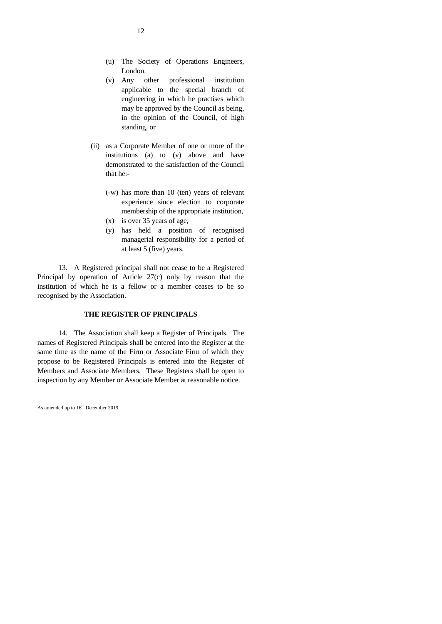- (u) The Society of Operations Engineers, London.
- (v) Any other professional institution applicable to the special branch of engineering in which he practises which may be approved by the Council as being, in the opinion of the Council, of high standing, or
- (ii) as a Corporate Member of one or more of the institutions (a) to (v) above and have demonstrated to the satisfaction of the Council that he:-
	- (-w) has more than 10 (ten) years of relevant experience since election to corporate membership of the appropriate institution,
	- (x) is over 35 years of age,
	- (y) has held a position of recognised managerial responsibility for a period of at least 5 (five) years.

13. A Registered principal shall not cease to be a Registered Principal by operation of Article 27(c) only by reason that the institution of which he is a fellow or a member ceases to be so recognised by the Association.

#### **THE REGISTER OF PRINCIPALS**

14. The Association shall keep a Register of Principals. The names of Registered Principals shall be entered into the Register at the same time as the name of the Firm or Associate Firm of which they propose to be Registered Principals is entered into the Register of Members and Associate Members. These Registers shall be open to inspection by any Member or Associate Member at reasonable notice.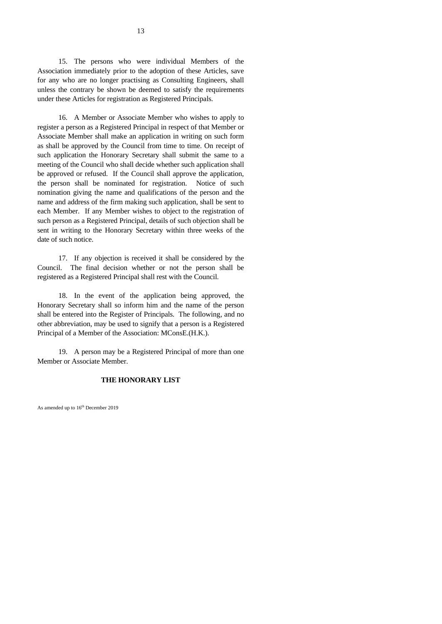15. The persons who were individual Members of the Association immediately prior to the adoption of these Articles, save for any who are no longer practising as Consulting Engineers, shall unless the contrary be shown be deemed to satisfy the requirements under these Articles for registration as Registered Principals.

16. A Member or Associate Member who wishes to apply to register a person as a Registered Principal in respect of that Member or Associate Member shall make an application in writing on such form as shall be approved by the Council from time to time. On receipt of such application the Honorary Secretary shall submit the same to a meeting of the Council who shall decide whether such application shall be approved or refused. If the Council shall approve the application, the person shall be nominated for registration. Notice of such nomination giving the name and qualifications of the person and the name and address of the firm making such application, shall be sent to each Member. If any Member wishes to object to the registration of such person as a Registered Principal, details of such objection shall be sent in writing to the Honorary Secretary within three weeks of the date of such notice.

17. If any objection is received it shall be considered by the Council. The final decision whether or not the person shall be registered as a Registered Principal shall rest with the Council.

18. In the event of the application being approved, the Honorary Secretary shall so inform him and the name of the person shall be entered into the Register of Principals. The following, and no other abbreviation, may be used to signify that a person is a Registered Principal of a Member of the Association: MConsE.(H.K.).

19. A person may be a Registered Principal of more than one Member or Associate Member.

#### **THE HONORARY LIST**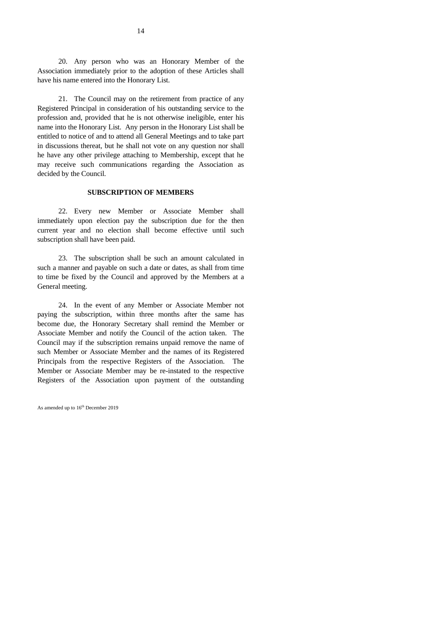20. Any person who was an Honorary Member of the Association immediately prior to the adoption of these Articles shall have his name entered into the Honorary List.

21. The Council may on the retirement from practice of any Registered Principal in consideration of his outstanding service to the profession and, provided that he is not otherwise ineligible, enter his name into the Honorary List. Any person in the Honorary List shall be entitled to notice of and to attend all General Meetings and to take part in discussions thereat, but he shall not vote on any question nor shall he have any other privilege attaching to Membership, except that he may receive such communications regarding the Association as decided by the Council.

#### **SUBSCRIPTION OF MEMBERS**

22. Every new Member or Associate Member shall immediately upon election pay the subscription due for the then current year and no election shall become effective until such subscription shall have been paid.

23. The subscription shall be such an amount calculated in such a manner and payable on such a date or dates, as shall from time to time be fixed by the Council and approved by the Members at a General meeting.

24. In the event of any Member or Associate Member not paying the subscription, within three months after the same has become due, the Honorary Secretary shall remind the Member or Associate Member and notify the Council of the action taken. The Council may if the subscription remains unpaid remove the name of such Member or Associate Member and the names of its Registered Principals from the respective Registers of the Association. The Member or Associate Member may be re-instated to the respective Registers of the Association upon payment of the outstanding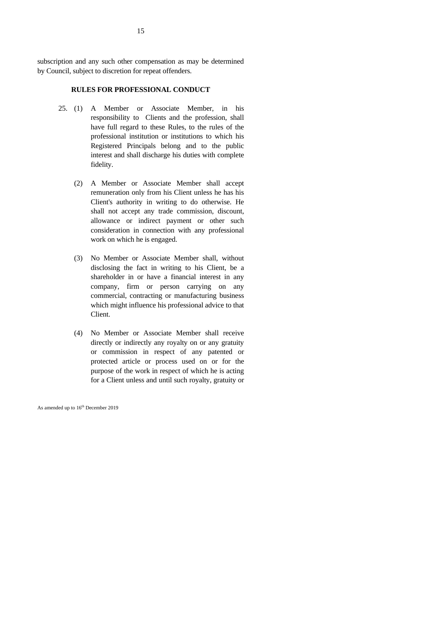subscription and any such other compensation as may be determined by Council, subject to discretion for repeat offenders.

#### **RULES FOR PROFESSIONAL CONDUCT**

- 25. (1) A Member or Associate Member, in his responsibility to Clients and the profession, shall have full regard to these Rules, to the rules of the professional institution or institutions to which his Registered Principals belong and to the public interest and shall discharge his duties with complete fidelity.
	- (2) A Member or Associate Member shall accept remuneration only from his Client unless he has his Client's authority in writing to do otherwise. He shall not accept any trade commission, discount, allowance or indirect payment or other such consideration in connection with any professional work on which he is engaged.
	- (3) No Member or Associate Member shall, without disclosing the fact in writing to his Client, be a shareholder in or have a financial interest in any company, firm or person carrying on any commercial, contracting or manufacturing business which might influence his professional advice to that Client.
	- (4) No Member or Associate Member shall receive directly or indirectly any royalty on or any gratuity or commission in respect of any patented or protected article or process used on or for the purpose of the work in respect of which he is acting for a Client unless and until such royalty, gratuity or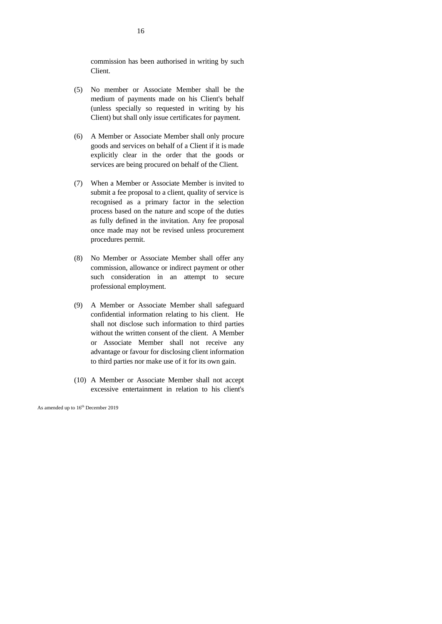commission has been authorised in writing by such Client.

- (5) No member or Associate Member shall be the medium of payments made on his Client's behalf (unless specially so requested in writing by his Client) but shall only issue certificates for payment.
- (6) A Member or Associate Member shall only procure goods and services on behalf of a Client if it is made explicitly clear in the order that the goods or services are being procured on behalf of the Client.
- (7) When a Member or Associate Member is invited to submit a fee proposal to a client, quality of service is recognised as a primary factor in the selection process based on the nature and scope of the duties as fully defined in the invitation. Any fee proposal once made may not be revised unless procurement procedures permit.
- (8) No Member or Associate Member shall offer any commission, allowance or indirect payment or other such consideration in an attempt to secure professional employment.
- (9) A Member or Associate Member shall safeguard confidential information relating to his client. He shall not disclose such information to third parties without the written consent of the client. A Member or Associate Member shall not receive any advantage or favour for disclosing client information to third parties nor make use of it for its own gain.
- (10) A Member or Associate Member shall not accept excessive entertainment in relation to his client's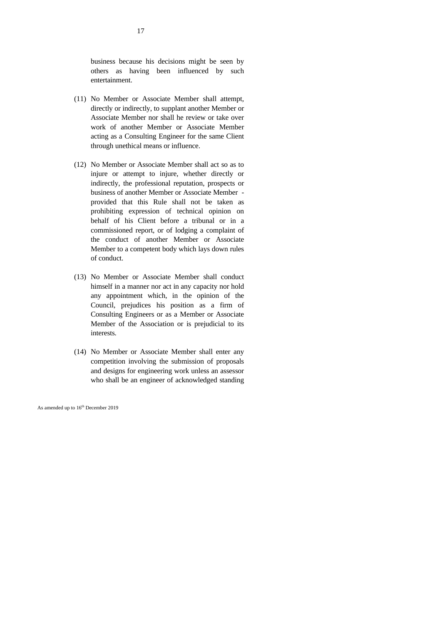business because his decisions might be seen by others as having been influenced by such entertainment.

- (11) No Member or Associate Member shall attempt, directly or indirectly, to supplant another Member or Associate Member nor shall he review or take over work of another Member or Associate Member acting as a Consulting Engineer for the same Client through unethical means or influence.
- (12) No Member or Associate Member shall act so as to injure or attempt to injure, whether directly or indirectly, the professional reputation, prospects or business of another Member or Associate Member provided that this Rule shall not be taken as prohibiting expression of technical opinion on behalf of his Client before a tribunal or in a commissioned report, or of lodging a complaint of the conduct of another Member or Associate Member to a competent body which lays down rules of conduct.
- (13) No Member or Associate Member shall conduct himself in a manner nor act in any capacity nor hold any appointment which, in the opinion of the Council, prejudices his position as a firm of Consulting Engineers or as a Member or Associate Member of the Association or is prejudicial to its interests.
- (14) No Member or Associate Member shall enter any competition involving the submission of proposals and designs for engineering work unless an assessor who shall be an engineer of acknowledged standing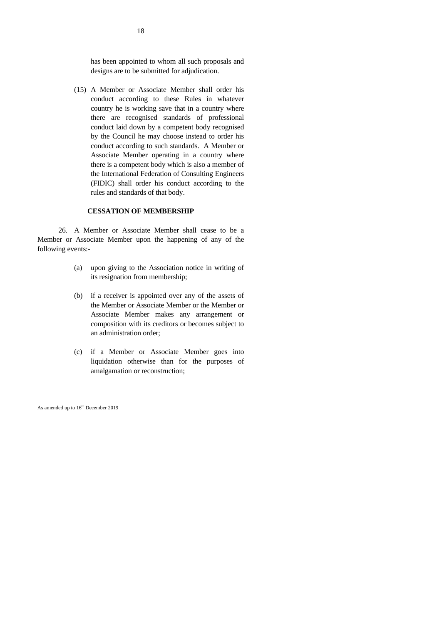has been appointed to whom all such proposals and designs are to be submitted for adjudication.

(15) A Member or Associate Member shall order his conduct according to these Rules in whatever country he is working save that in a country where there are recognised standards of professional conduct laid down by a competent body recognised by the Council he may choose instead to order his conduct according to such standards. A Member or Associate Member operating in a country where there is a competent body which is also a member of the International Federation of Consulting Engineers (FIDIC) shall order his conduct according to the rules and standards of that body.

#### **CESSATION OF MEMBERSHIP**

26. A Member or Associate Member shall cease to be a Member or Associate Member upon the happening of any of the following events:-

- (a) upon giving to the Association notice in writing of its resignation from membership;
- (b) if a receiver is appointed over any of the assets of the Member or Associate Member or the Member or Associate Member makes any arrangement or composition with its creditors or becomes subject to an administration order;
- (c) if a Member or Associate Member goes into liquidation otherwise than for the purposes of amalgamation or reconstruction;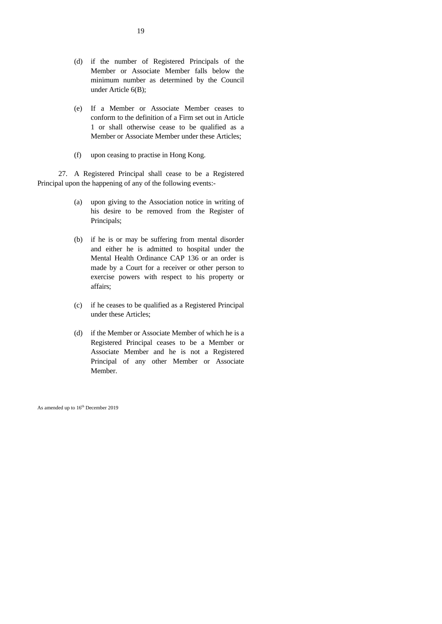- (d) if the number of Registered Principals of the Member or Associate Member falls below the minimum number as determined by the Council under Article 6(B);
- (e) If a Member or Associate Member ceases to conform to the definition of a Firm set out in Article 1 or shall otherwise cease to be qualified as a Member or Associate Member under these Articles;
- (f) upon ceasing to practise in Hong Kong.

27. A Registered Principal shall cease to be a Registered Principal upon the happening of any of the following events:-

- (a) upon giving to the Association notice in writing of his desire to be removed from the Register of Principals;
- (b) if he is or may be suffering from mental disorder and either he is admitted to hospital under the Mental Health Ordinance CAP 136 or an order is made by a Court for a receiver or other person to exercise powers with respect to his property or affairs;
- (c) if he ceases to be qualified as a Registered Principal under these Articles;
- (d) if the Member or Associate Member of which he is a Registered Principal ceases to be a Member or Associate Member and he is not a Registered Principal of any other Member or Associate Member.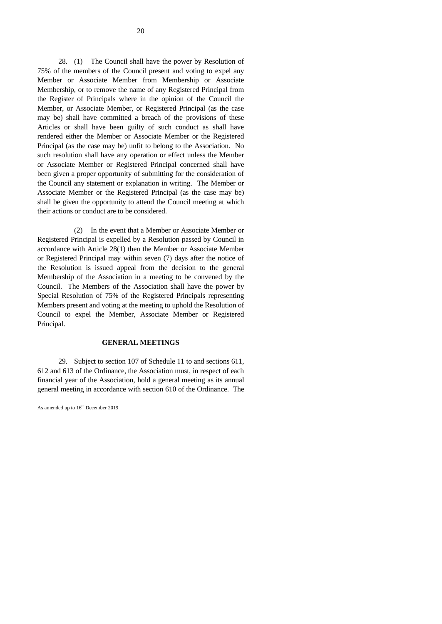28. (1) The Council shall have the power by Resolution of 75% of the members of the Council present and voting to expel any Member or Associate Member from Membership or Associate Membership, or to remove the name of any Registered Principal from the Register of Principals where in the opinion of the Council the Member, or Associate Member, or Registered Principal (as the case may be) shall have committed a breach of the provisions of these Articles or shall have been guilty of such conduct as shall have rendered either the Member or Associate Member or the Registered Principal (as the case may be) unfit to belong to the Association. No such resolution shall have any operation or effect unless the Member or Associate Member or Registered Principal concerned shall have been given a proper opportunity of submitting for the consideration of the Council any statement or explanation in writing. The Member or Associate Member or the Registered Principal (as the case may be) shall be given the opportunity to attend the Council meeting at which their actions or conduct are to be considered.

(2) In the event that a Member or Associate Member or Registered Principal is expelled by a Resolution passed by Council in accordance with Article 28(1) then the Member or Associate Member or Registered Principal may within seven (7) days after the notice of the Resolution is issued appeal from the decision to the general Membership of the Association in a meeting to be convened by the Council. The Members of the Association shall have the power by Special Resolution of 75% of the Registered Principals representing Members present and voting at the meeting to uphold the Resolution of Council to expel the Member, Associate Member or Registered Principal.

#### **GENERAL MEETINGS**

29. Subject to section 107 of Schedule 11 to and sections 611, 612 and 613 of the Ordinance, the Association must, in respect of each financial year of the Association, hold a general meeting as its annual general meeting in accordance with section 610 of the Ordinance. The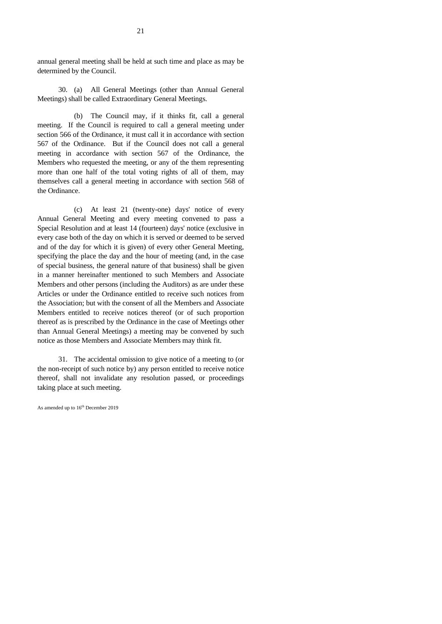annual general meeting shall be held at such time and place as may be determined by the Council.

30. (a) All General Meetings (other than Annual General Meetings) shall be called Extraordinary General Meetings.

(b) The Council may, if it thinks fit, call a general meeting. If the Council is required to call a general meeting under section 566 of the Ordinance, it must call it in accordance with section 567 of the Ordinance. But if the Council does not call a general meeting in accordance with section 567 of the Ordinance, the Members who requested the meeting, or any of the them representing more than one half of the total voting rights of all of them, may themselves call a general meeting in accordance with section 568 of the Ordinance.

(c) At least 21 (twenty-one) days' notice of every Annual General Meeting and every meeting convened to pass a Special Resolution and at least 14 (fourteen) days' notice (exclusive in every case both of the day on which it is served or deemed to be served and of the day for which it is given) of every other General Meeting, specifying the place the day and the hour of meeting (and, in the case of special business, the general nature of that business) shall be given in a manner hereinafter mentioned to such Members and Associate Members and other persons (including the Auditors) as are under these Articles or under the Ordinance entitled to receive such notices from the Association; but with the consent of all the Members and Associate Members entitled to receive notices thereof (or of such proportion thereof as is prescribed by the Ordinance in the case of Meetings other than Annual General Meetings) a meeting may be convened by such notice as those Members and Associate Members may think fit.

31. The accidental omission to give notice of a meeting to (or the non-receipt of such notice by) any person entitled to receive notice thereof, shall not invalidate any resolution passed, or proceedings taking place at such meeting.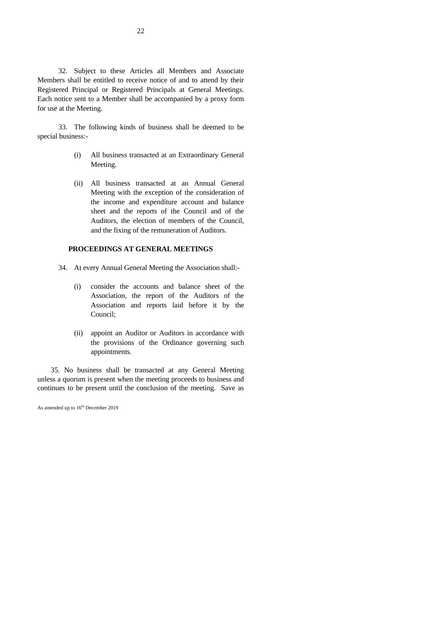32. Subject to these Articles all Members and Associate Members shall be entitled to receive notice of and to attend by their Registered Principal or Registered Principals at General Meetings. Each notice sent to a Member shall be accompanied by a proxy form for use at the Meeting.

33. The following kinds of business shall be deemed to be special business:-

- (i) All business transacted at an Extraordinary General Meeting.
- (ii) All business transacted at an Annual General Meeting with the exception of the consideration of the income and expenditure account and balance sheet and the reports of the Council and of the Auditors, the election of members of the Council, and the fixing of the remuneration of Auditors.

#### **PROCEEDINGS AT GENERAL MEETINGS**

- 34. At every Annual General Meeting the Association shall:-
	- (i) consider the accounts and balance sheet of the Association, the report of the Auditors of the Association and reports laid before it by the Council;
	- (ii) appoint an Auditor or Auditors in accordance with the provisions of the Ordinance governing such appointments.

35. No business shall be transacted at any General Meeting unless a quorum is present when the meeting proceeds to business and continues to be present until the conclusion of the meeting. Save as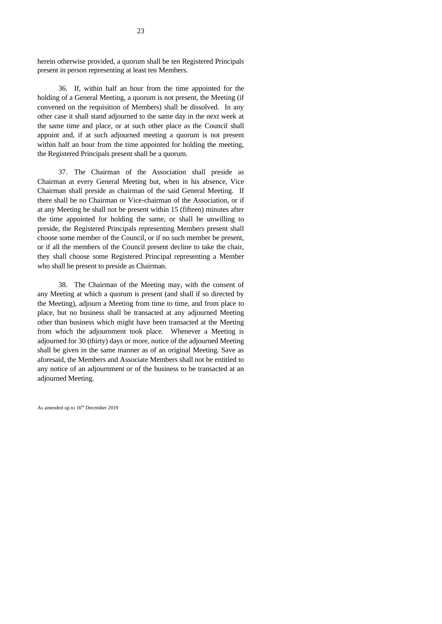herein otherwise provided, a quorum shall be ten Registered Principals present in person representing at least ten Members.

36. If, within half an hour from the time appointed for the holding of a General Meeting, a quorum is not present, the Meeting (if convened on the requisition of Members) shall be dissolved. In any other case it shall stand adjourned to the same day in the next week at the same time and place, or at such other place as the Council shall appoint and, if at such adjourned meeting a quorum is not present within half an hour from the time appointed for holding the meeting, the Registered Principals present shall be a quorum.

37. The Chairman of the Association shall preside as Chairman at every General Meeting but, when in his absence, Vice Chairman shall preside as chairman of the said General Meeting. If there shall be no Chairman or Vice-chairman of the Association, or if at any Meeting he shall not be present within 15 (fifteen) minutes after the time appointed for holding the same, or shall be unwilling to preside, the Registered Principals representing Members present shall choose some member of the Council, or if no such member be present, or if all the members of the Council present decline to take the chair, they shall choose some Registered Principal representing a Member who shall be present to preside as Chairman.

38. The Chairman of the Meeting may, with the consent of any Meeting at which a quorum is present (and shall if so directed by the Meeting), adjourn a Meeting from time to time, and from place to place, but no business shall be transacted at any adjourned Meeting other than business which might have been transacted at the Meeting from which the adjournment took place. Whenever a Meeting is adjourned for 30 (thirty) days or more, notice of the adjourned Meeting shall be given in the same manner as of an original Meeting. Save as aforesaid, the Members and Associate Members shall not be entitled to any notice of an adjournment or of the business to be transacted at an adjourned Meeting.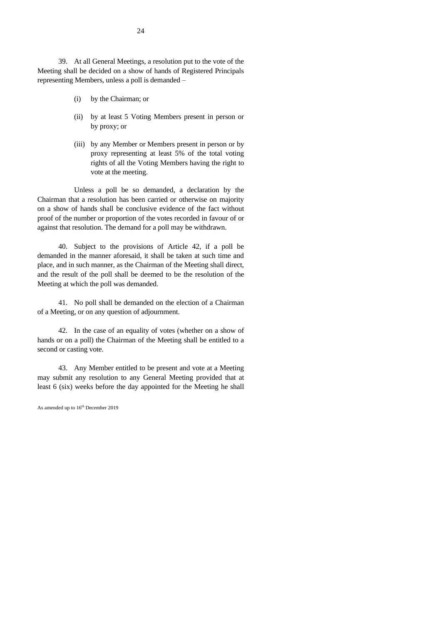39. At all General Meetings, a resolution put to the vote of the Meeting shall be decided on a show of hands of Registered Principals representing Members, unless a poll is demanded –

- (i) by the Chairman; or
- (ii) by at least 5 Voting Members present in person or by proxy; or
- (iii) by any Member or Members present in person or by proxy representing at least 5% of the total voting rights of all the Voting Members having the right to vote at the meeting.

Unless a poll be so demanded, a declaration by the Chairman that a resolution has been carried or otherwise on majority on a show of hands shall be conclusive evidence of the fact without proof of the number or proportion of the votes recorded in favour of or against that resolution. The demand for a poll may be withdrawn.

40. Subject to the provisions of Article 42, if a poll be demanded in the manner aforesaid, it shall be taken at such time and place, and in such manner, as the Chairman of the Meeting shall direct, and the result of the poll shall be deemed to be the resolution of the Meeting at which the poll was demanded.

41. No poll shall be demanded on the election of a Chairman of a Meeting, or on any question of adjournment.

42. In the case of an equality of votes (whether on a show of hands or on a poll) the Chairman of the Meeting shall be entitled to a second or casting vote.

43. Any Member entitled to be present and vote at a Meeting may submit any resolution to any General Meeting provided that at least 6 (six) weeks before the day appointed for the Meeting he shall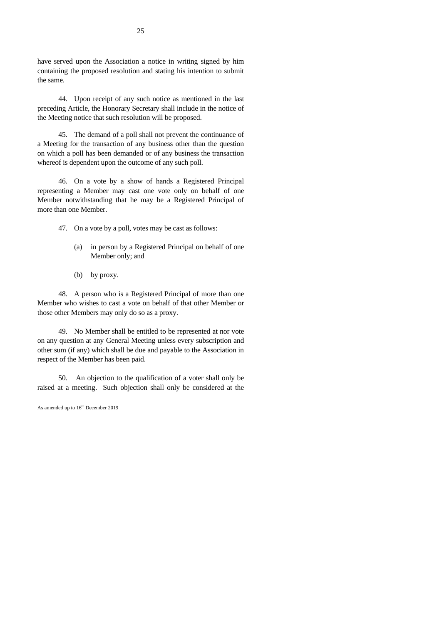have served upon the Association a notice in writing signed by him containing the proposed resolution and stating his intention to submit the same.

44. Upon receipt of any such notice as mentioned in the last preceding Article, the Honorary Secretary shall include in the notice of the Meeting notice that such resolution will be proposed.

45. The demand of a poll shall not prevent the continuance of a Meeting for the transaction of any business other than the question on which a poll has been demanded or of any business the transaction whereof is dependent upon the outcome of any such poll.

46. On a vote by a show of hands a Registered Principal representing a Member may cast one vote only on behalf of one Member notwithstanding that he may be a Registered Principal of more than one Member.

47. On a vote by a poll, votes may be cast as follows:

- (a) in person by a Registered Principal on behalf of one Member only; and
- (b) by proxy.

48. A person who is a Registered Principal of more than one Member who wishes to cast a vote on behalf of that other Member or those other Members may only do so as a proxy.

49. No Member shall be entitled to be represented at nor vote on any question at any General Meeting unless every subscription and other sum (if any) which shall be due and payable to the Association in respect of the Member has been paid.

50. An objection to the qualification of a voter shall only be raised at a meeting. Such objection shall only be considered at the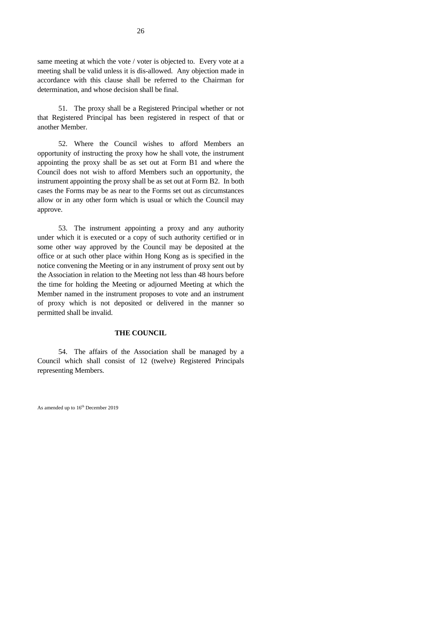same meeting at which the vote / voter is objected to. Every vote at a meeting shall be valid unless it is dis-allowed. Any objection made in accordance with this clause shall be referred to the Chairman for determination, and whose decision shall be final.

51. The proxy shall be a Registered Principal whether or not that Registered Principal has been registered in respect of that or another Member.

52. Where the Council wishes to afford Members an opportunity of instructing the proxy how he shall vote, the instrument appointing the proxy shall be as set out at Form B1 and where the Council does not wish to afford Members such an opportunity, the instrument appointing the proxy shall be as set out at Form B2. In both cases the Forms may be as near to the Forms set out as circumstances allow or in any other form which is usual or which the Council may approve.

53. The instrument appointing a proxy and any authority under which it is executed or a copy of such authority certified or in some other way approved by the Council may be deposited at the office or at such other place within Hong Kong as is specified in the notice convening the Meeting or in any instrument of proxy sent out by the Association in relation to the Meeting not less than 48 hours before the time for holding the Meeting or adjourned Meeting at which the Member named in the instrument proposes to vote and an instrument of proxy which is not deposited or delivered in the manner so permitted shall be invalid.

#### **THE COUNCIL**

54. The affairs of the Association shall be managed by a Council which shall consist of 12 (twelve) Registered Principals representing Members.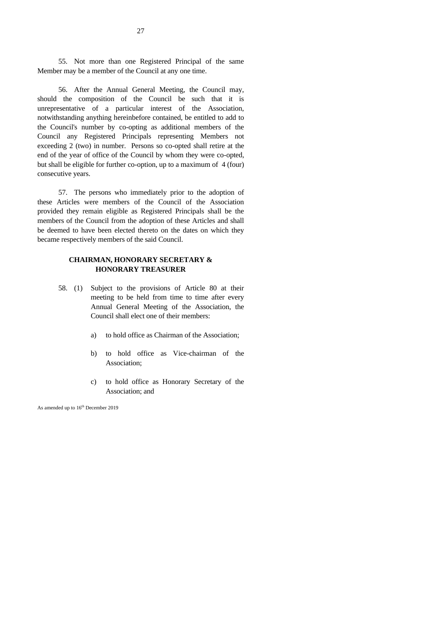55. Not more than one Registered Principal of the same Member may be a member of the Council at any one time.

56. After the Annual General Meeting, the Council may, should the composition of the Council be such that it is unrepresentative of a particular interest of the Association, notwithstanding anything hereinbefore contained, be entitled to add to the Council's number by co-opting as additional members of the Council any Registered Principals representing Members not exceeding 2 (two) in number. Persons so co-opted shall retire at the end of the year of office of the Council by whom they were co-opted, but shall be eligible for further co-option, up to a maximum of 4 (four) consecutive years.

57. The persons who immediately prior to the adoption of these Articles were members of the Council of the Association provided they remain eligible as Registered Principals shall be the members of the Council from the adoption of these Articles and shall be deemed to have been elected thereto on the dates on which they became respectively members of the said Council.

#### **CHAIRMAN, HONORARY SECRETARY & HONORARY TREASURER**

- 58. (1) Subject to the provisions of Article 80 at their meeting to be held from time to time after every Annual General Meeting of the Association, the Council shall elect one of their members:
	- a) to hold office as Chairman of the Association;
	- b) to hold office as Vice-chairman of the Association;
	- c) to hold office as Honorary Secretary of the Association; and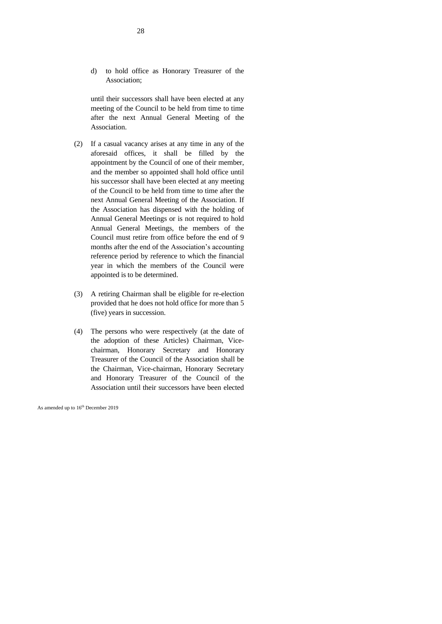d) to hold office as Honorary Treasurer of the Association;

until their successors shall have been elected at any meeting of the Council to be held from time to time after the next Annual General Meeting of the Association.

- (2) If a casual vacancy arises at any time in any of the aforesaid offices, it shall be filled by the appointment by the Council of one of their member, and the member so appointed shall hold office until his successor shall have been elected at any meeting of the Council to be held from time to time after the next Annual General Meeting of the Association. If the Association has dispensed with the holding of Annual General Meetings or is not required to hold Annual General Meetings, the members of the Council must retire from office before the end of 9 months after the end of the Association's accounting reference period by reference to which the financial year in which the members of the Council were appointed is to be determined.
- (3) A retiring Chairman shall be eligible for re-election provided that he does not hold office for more than 5 (five) years in succession.
- (4) The persons who were respectively (at the date of the adoption of these Articles) Chairman, Vicechairman, Honorary Secretary and Honorary Treasurer of the Council of the Association shall be the Chairman, Vice-chairman, Honorary Secretary and Honorary Treasurer of the Council of the Association until their successors have been elected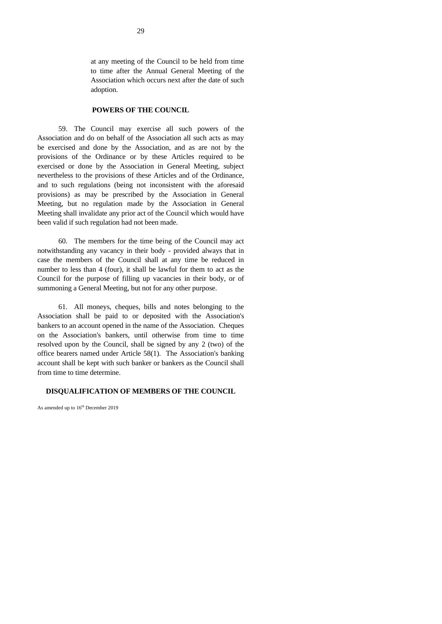at any meeting of the Council to be held from time to time after the Annual General Meeting of the Association which occurs next after the date of such adoption.

#### **POWERS OF THE COUNCIL**

59. The Council may exercise all such powers of the Association and do on behalf of the Association all such acts as may be exercised and done by the Association, and as are not by the provisions of the Ordinance or by these Articles required to be exercised or done by the Association in General Meeting, subject nevertheless to the provisions of these Articles and of the Ordinance, and to such regulations (being not inconsistent with the aforesaid provisions) as may be prescribed by the Association in General Meeting, but no regulation made by the Association in General Meeting shall invalidate any prior act of the Council which would have been valid if such regulation had not been made.

60. The members for the time being of the Council may act notwithstanding any vacancy in their body - provided always that in case the members of the Council shall at any time be reduced in number to less than 4 (four), it shall be lawful for them to act as the Council for the purpose of filling up vacancies in their body, or of summoning a General Meeting, but not for any other purpose.

61. All moneys, cheques, bills and notes belonging to the Association shall be paid to or deposited with the Association's bankers to an account opened in the name of the Association. Cheques on the Association's bankers, until otherwise from time to time resolved upon by the Council, shall be signed by any 2 (two) of the office bearers named under Article 58(1). The Association's banking account shall be kept with such banker or bankers as the Council shall from time to time determine.

#### **DISQUALIFICATION OF MEMBERS OF THE COUNCIL**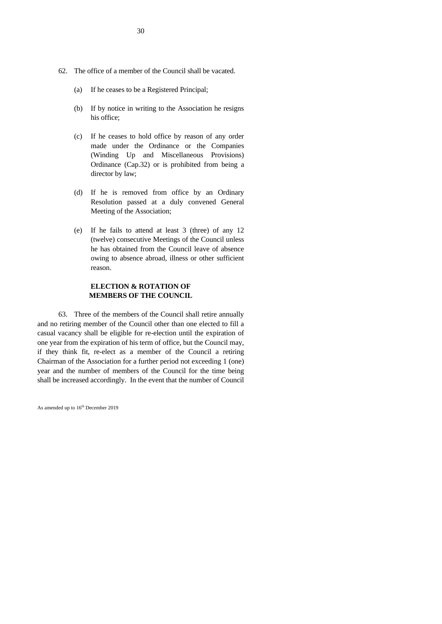- 62. The office of a member of the Council shall be vacated.
	- (a) If he ceases to be a Registered Principal;
	- (b) If by notice in writing to the Association he resigns his office;
	- (c) If he ceases to hold office by reason of any order made under the Ordinance or the Companies (Winding Up and Miscellaneous Provisions) Ordinance (Cap.32) or is prohibited from being a director by law;
	- (d) If he is removed from office by an Ordinary Resolution passed at a duly convened General Meeting of the Association;
	- (e) If he fails to attend at least 3 (three) of any 12 (twelve) consecutive Meetings of the Council unless he has obtained from the Council leave of absence owing to absence abroad, illness or other sufficient reason.

#### **ELECTION & ROTATION OF MEMBERS OF THE COUNCIL**

63. Three of the members of the Council shall retire annually and no retiring member of the Council other than one elected to fill a casual vacancy shall be eligible for re-election until the expiration of one year from the expiration of his term of office, but the Council may, if they think fit, re-elect as a member of the Council a retiring Chairman of the Association for a further period not exceeding 1 (one) year and the number of members of the Council for the time being shall be increased accordingly. In the event that the number of Council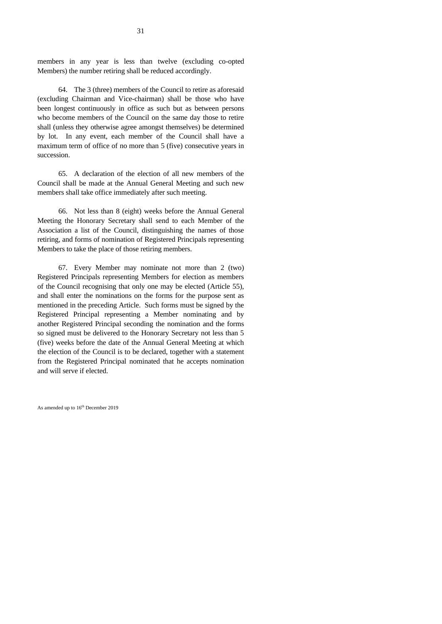members in any year is less than twelve (excluding co-opted Members) the number retiring shall be reduced accordingly.

64. The 3 (three) members of the Council to retire as aforesaid (excluding Chairman and Vice-chairman) shall be those who have been longest continuously in office as such but as between persons who become members of the Council on the same day those to retire shall (unless they otherwise agree amongst themselves) be determined by lot. In any event, each member of the Council shall have a maximum term of office of no more than 5 (five) consecutive years in succession.

65. A declaration of the election of all new members of the Council shall be made at the Annual General Meeting and such new members shall take office immediately after such meeting.

66. Not less than 8 (eight) weeks before the Annual General Meeting the Honorary Secretary shall send to each Member of the Association a list of the Council, distinguishing the names of those retiring, and forms of nomination of Registered Principals representing Members to take the place of those retiring members.

67. Every Member may nominate not more than 2 (two) Registered Principals representing Members for election as members of the Council recognising that only one may be elected (Article 55), and shall enter the nominations on the forms for the purpose sent as mentioned in the preceding Article. Such forms must be signed by the Registered Principal representing a Member nominating and by another Registered Principal seconding the nomination and the forms so signed must be delivered to the Honorary Secretary not less than 5 (five) weeks before the date of the Annual General Meeting at which the election of the Council is to be declared, together with a statement from the Registered Principal nominated that he accepts nomination and will serve if elected.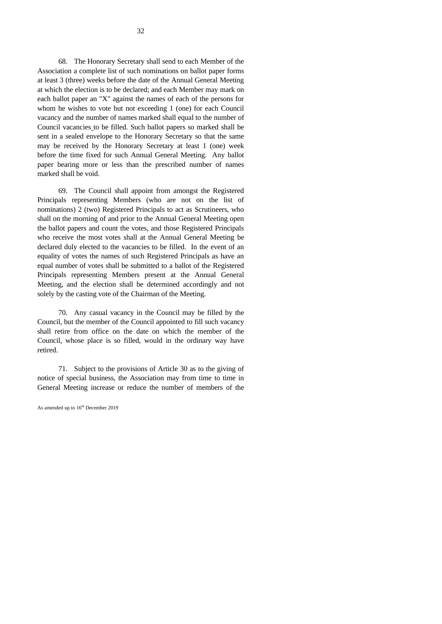68. The Honorary Secretary shall send to each Member of the Association a complete list of such nominations on ballot paper forms at least 3 (three) weeks before the date of the Annual General Meeting at which the election is to be declared; and each Member may mark on each ballot paper an "X" against the names of each of the persons for whom he wishes to vote but not exceeding 1 (one) for each Council vacancy and the number of names marked shall equal to the number of Council vacancies to be filled. Such ballot papers so marked shall be sent in a sealed envelope to the Honorary Secretary so that the same may be received by the Honorary Secretary at least 1 (one) week before the time fixed for such Annual General Meeting. Any ballot paper bearing more or less than the prescribed number of names marked shall be void.

69. The Council shall appoint from amongst the Registered Principals representing Members (who are not on the list of nominations) 2 (two) Registered Principals to act as Scrutineers, who shall on the morning of and prior to the Annual General Meeting open the ballot papers and count the votes, and those Registered Principals who receive the most votes shall at the Annual General Meeting be declared duly elected to the vacancies to be filled. In the event of an equality of votes the names of such Registered Principals as have an equal number of votes shall be submitted to a ballot of the Registered Principals representing Members present at the Annual General Meeting, and the election shall be determined accordingly and not solely by the casting vote of the Chairman of the Meeting.

70. Any casual vacancy in the Council may be filled by the Council, but the member of the Council appointed to fill such vacancy shall retire from office on the date on which the member of the Council, whose place is so filled, would in the ordinary way have retired.

71. Subject to the provisions of Article 30 as to the giving of notice of special business, the Association may from time to time in General Meeting increase or reduce the number of members of the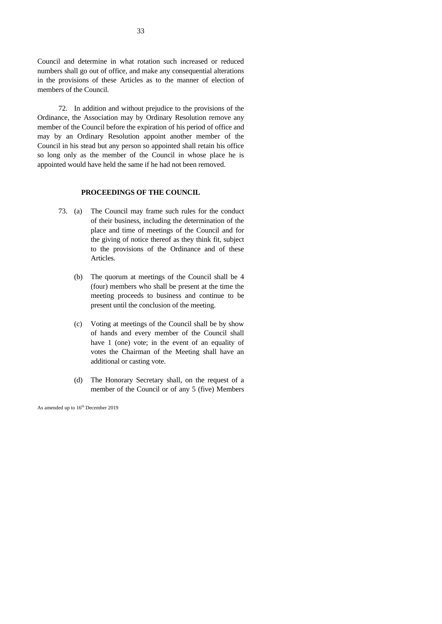Council and determine in what rotation such increased or reduced numbers shall go out of office, and make any consequential alterations in the provisions of these Articles as to the manner of election of members of the Council.

72. In addition and without prejudice to the provisions of the Ordinance, the Association may by Ordinary Resolution remove any member of the Council before the expiration of his period of office and may by an Ordinary Resolution appoint another member of the Council in his stead but any person so appointed shall retain his office so long only as the member of the Council in whose place he is appointed would have held the same if he had not been removed.

#### **PROCEEDINGS OF THE COUNCIL**

- 73. (a) The Council may frame such rules for the conduct of their business, including the determination of the place and time of meetings of the Council and for the giving of notice thereof as they think fit, subject to the provisions of the Ordinance and of these Articles.
	- (b) The quorum at meetings of the Council shall be 4 (four) members who shall be present at the time the meeting proceeds to business and continue to be present until the conclusion of the meeting.
	- (c) Voting at meetings of the Council shall be by show of hands and every member of the Council shall have 1 (one) vote; in the event of an equality of votes the Chairman of the Meeting shall have an additional or casting vote.
	- (d) The Honorary Secretary shall, on the request of a member of the Council or of any 5 (five) Members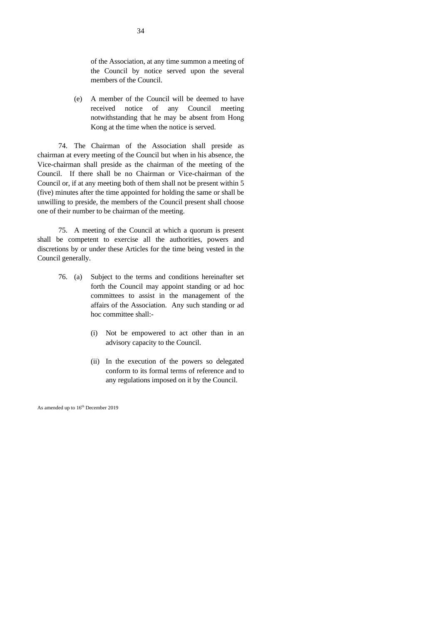of the Association, at any time summon a meeting of the Council by notice served upon the several members of the Council.

(e) A member of the Council will be deemed to have received notice of any Council meeting notwithstanding that he may be absent from Hong Kong at the time when the notice is served.

74. The Chairman of the Association shall preside as chairman at every meeting of the Council but when in his absence, the Vice-chairman shall preside as the chairman of the meeting of the Council. If there shall be no Chairman or Vice-chairman of the Council or, if at any meeting both of them shall not be present within 5 (five) minutes after the time appointed for holding the same or shall be unwilling to preside, the members of the Council present shall choose one of their number to be chairman of the meeting.

75. A meeting of the Council at which a quorum is present shall be competent to exercise all the authorities, powers and discretions by or under these Articles for the time being vested in the Council generally.

- 76. (a) Subject to the terms and conditions hereinafter set forth the Council may appoint standing or ad hoc committees to assist in the management of the affairs of the Association. Any such standing or ad hoc committee shall:-
	- (i) Not be empowered to act other than in an advisory capacity to the Council.
	- (ii) In the execution of the powers so delegated conform to its formal terms of reference and to any regulations imposed on it by the Council.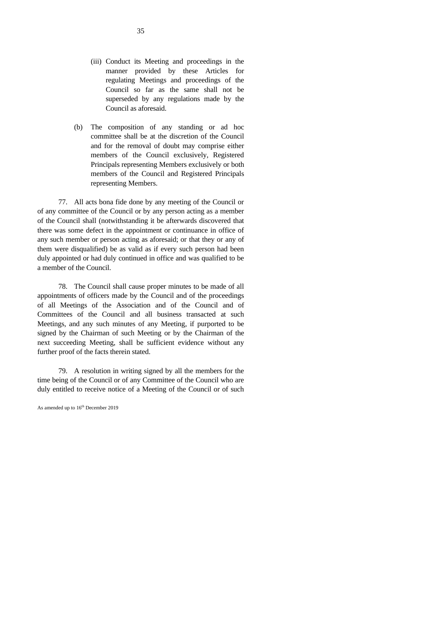- (iii) Conduct its Meeting and proceedings in the manner provided by these Articles for regulating Meetings and proceedings of the Council so far as the same shall not be superseded by any regulations made by the Council as aforesaid.
- (b) The composition of any standing or ad hoc committee shall be at the discretion of the Council and for the removal of doubt may comprise either members of the Council exclusively, Registered Principals representing Members exclusively or both members of the Council and Registered Principals representing Members.

77. All acts bona fide done by any meeting of the Council or of any committee of the Council or by any person acting as a member of the Council shall (notwithstanding it be afterwards discovered that there was some defect in the appointment or continuance in office of any such member or person acting as aforesaid; or that they or any of them were disqualified) be as valid as if every such person had been duly appointed or had duly continued in office and was qualified to be a member of the Council.

78. The Council shall cause proper minutes to be made of all appointments of officers made by the Council and of the proceedings of all Meetings of the Association and of the Council and of Committees of the Council and all business transacted at such Meetings, and any such minutes of any Meeting, if purported to be signed by the Chairman of such Meeting or by the Chairman of the next succeeding Meeting, shall be sufficient evidence without any further proof of the facts therein stated.

79. A resolution in writing signed by all the members for the time being of the Council or of any Committee of the Council who are duly entitled to receive notice of a Meeting of the Council or of such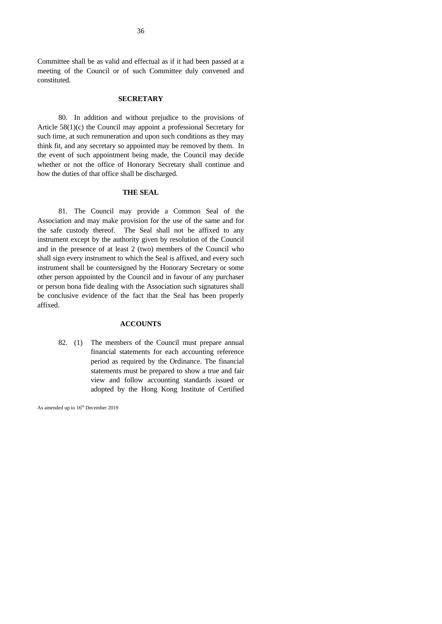Committee shall be as valid and effectual as if it had been passed at a meeting of the Council or of such Committee duly convened and constituted.

#### **SECRETARY**

80. In addition and without prejudice to the provisions of Article 58(1)(c) the Council may appoint a professional Secretary for such time, at such remuneration and upon such conditions as they may think fit, and any secretary so appointed may be removed by them. In the event of such appointment being made, the Council may decide whether or not the office of Honorary Secretary shall continue and how the duties of that office shall be discharged.

#### **THE SEAL**

81. The Council may provide a Common Seal of the Association and may make provision for the use of the same and for the safe custody thereof. The Seal shall not be affixed to any instrument except by the authority given by resolution of the Council and in the presence of at least 2 (two) members of the Council who shall sign every instrument to which the Seal is affixed, and every such instrument shall be countersigned by the Honorary Secretary or some other person appointed by the Council and in favour of any purchaser or person bona fide dealing with the Association such signatures shall be conclusive evidence of the fact that the Seal has been properly affixed.

#### **ACCOUNTS**

82. (1) The members of the Council must prepare annual financial statements for each accounting reference period as required by the Ordinance. The financial statements must be prepared to show a true and fair view and follow accounting standards issued or adopted by the Hong Kong Institute of Certified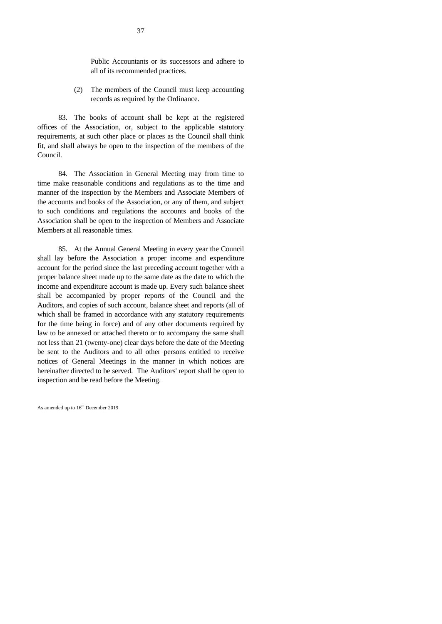Public Accountants or its successors and adhere to all of its recommended practices.

(2) The members of the Council must keep accounting records as required by the Ordinance.

83. The books of account shall be kept at the registered offices of the Association, or, subject to the applicable statutory requirements, at such other place or places as the Council shall think fit, and shall always be open to the inspection of the members of the Council.

84. The Association in General Meeting may from time to time make reasonable conditions and regulations as to the time and manner of the inspection by the Members and Associate Members of the accounts and books of the Association, or any of them, and subject to such conditions and regulations the accounts and books of the Association shall be open to the inspection of Members and Associate Members at all reasonable times.

85. At the Annual General Meeting in every year the Council shall lay before the Association a proper income and expenditure account for the period since the last preceding account together with a proper balance sheet made up to the same date as the date to which the income and expenditure account is made up. Every such balance sheet shall be accompanied by proper reports of the Council and the Auditors, and copies of such account, balance sheet and reports (all of which shall be framed in accordance with any statutory requirements for the time being in force) and of any other documents required by law to be annexed or attached thereto or to accompany the same shall not less than 21 (twenty-one) clear days before the date of the Meeting be sent to the Auditors and to all other persons entitled to receive notices of General Meetings in the manner in which notices are hereinafter directed to be served. The Auditors' report shall be open to inspection and be read before the Meeting.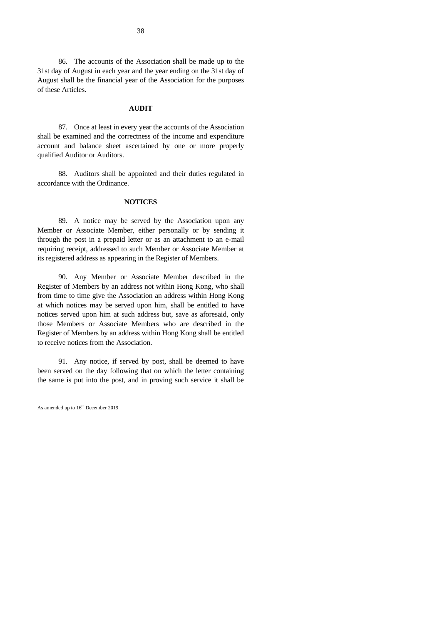86. The accounts of the Association shall be made up to the 31st day of August in each year and the year ending on the 31st day of August shall be the financial year of the Association for the purposes of these Articles.

#### **AUDIT**

87. Once at least in every year the accounts of the Association shall be examined and the correctness of the income and expenditure account and balance sheet ascertained by one or more properly qualified Auditor or Auditors.

88. Auditors shall be appointed and their duties regulated in accordance with the Ordinance.

#### **NOTICES**

89. A notice may be served by the Association upon any Member or Associate Member, either personally or by sending it through the post in a prepaid letter or as an attachment to an e-mail requiring receipt, addressed to such Member or Associate Member at its registered address as appearing in the Register of Members.

90. Any Member or Associate Member described in the Register of Members by an address not within Hong Kong, who shall from time to time give the Association an address within Hong Kong at which notices may be served upon him, shall be entitled to have notices served upon him at such address but, save as aforesaid, only those Members or Associate Members who are described in the Register of Members by an address within Hong Kong shall be entitled to receive notices from the Association.

91. Any notice, if served by post, shall be deemed to have been served on the day following that on which the letter containing the same is put into the post, and in proving such service it shall be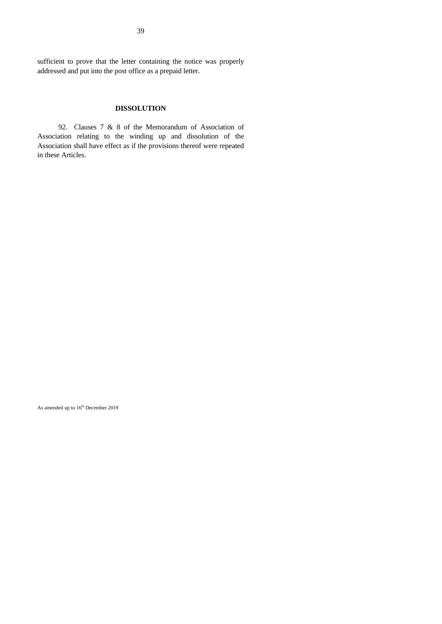sufficient to prove that the letter containing the notice was properly addressed and put into the post office as a prepaid letter.

#### **DISSOLUTION**

92. Clauses 7 & 8 of the Memorandum of Association of Association relating to the winding up and dissolution of the Association shall have effect as if the provisions thereof were repeated in these Articles.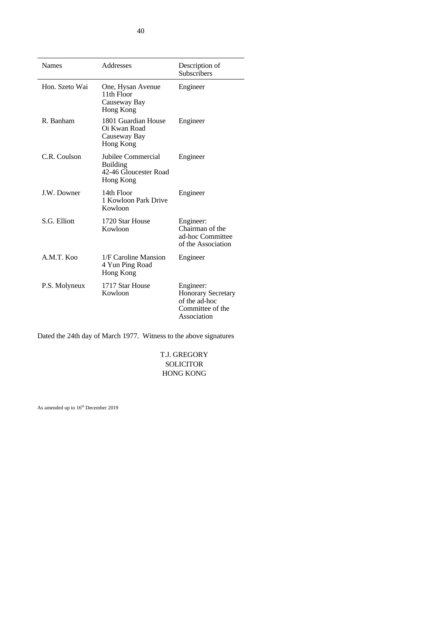| <b>Names</b>   | Addresses                                                                   | Description of<br><b>Subscribers</b>                                                       |
|----------------|-----------------------------------------------------------------------------|--------------------------------------------------------------------------------------------|
| Hon. Szeto Wai | One, Hysan Avenue<br>11th Floor<br>Causeway Bay<br>Hong Kong                | Engineer                                                                                   |
| R. Banham      | 1801 Guardian House<br>Oi Kwan Road<br>Causeway Bay<br>Hong Kong            | Engineer                                                                                   |
| C.R. Coulson   | Jubilee Commercial<br><b>Building</b><br>42-46 Gloucester Road<br>Hong Kong | Engineer                                                                                   |
| J.W. Downer    | 14th Floor<br>1 Kowloon Park Drive<br>Kowloon                               | Engineer                                                                                   |
| S.G. Elliott   | 1720 Star House<br>Kowloon                                                  | Engineer:<br>Chairman of the<br>ad-hoc Committee<br>of the Association                     |
| A.M.T. Koo     | 1/F Caroline Mansion<br>4 Yun Ping Road<br>Hong Kong                        | Engineer                                                                                   |
| P.S. Molyneux  | 1717 Star House<br>Kowloon                                                  | Engineer:<br><b>Honorary Secretary</b><br>of the ad-hoc<br>Committee of the<br>Association |

Dated the 24th day of March 1977. Witness to the above signatures

T.J. GREGORY SOLICITOR HONG KONG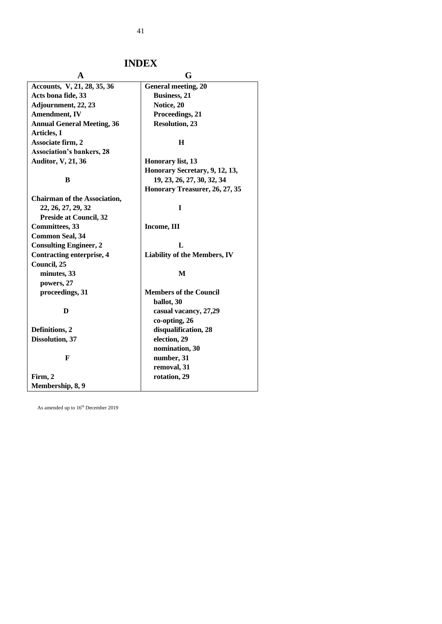41

# **INDEX**

| A                                   | G                                   |
|-------------------------------------|-------------------------------------|
| Accounts, V, 21, 28, 35, 36         | <b>General meeting, 20</b>          |
| Acts bona fide, 33                  | <b>Business</b> , 21                |
| Adjournment, 22, 23                 | Notice, 20                          |
| <b>Amendment</b> , IV               | Proceedings, 21                     |
| <b>Annual General Meeting, 36</b>   | <b>Resolution, 23</b>               |
| Articles, I                         |                                     |
| Associate firm, 2                   | $\bf H$                             |
| <b>Association's bankers, 28</b>    |                                     |
| <b>Auditor, V, 21, 36</b>           | Honorary list, 13                   |
|                                     | Honorary Secretary, 9, 12, 13,      |
| B                                   | 19, 23, 26, 27, 30, 32, 34          |
|                                     | Honorary Treasurer, 26, 27, 35      |
| <b>Chairman of the Association,</b> |                                     |
| 22, 26, 27, 29, 32                  | I                                   |
| <b>Preside at Council, 32</b>       |                                     |
| <b>Committees</b> , 33              | Income, III                         |
| <b>Common Seal, 34</b>              |                                     |
| <b>Consulting Engineer, 2</b>       | L                                   |
| Contracting enterprise, 4           | <b>Liability of the Members, IV</b> |
| Council, 25                         |                                     |
| minutes, 33                         | M                                   |
| powers, 27                          |                                     |
| proceedings, 31                     | <b>Members of the Council</b>       |
|                                     | ballot, 30                          |
| D                                   | casual vacancy, 27,29               |
|                                     | co-opting, 26                       |
| Definitions, 2                      | disqualification, 28                |
| Dissolution, 37                     | election, 29                        |
|                                     | nomination, 30                      |
| F                                   | number, 31                          |
|                                     | removal, 31                         |
| Firm, 2                             | rotation, 29                        |
| Membership, 8, 9                    |                                     |